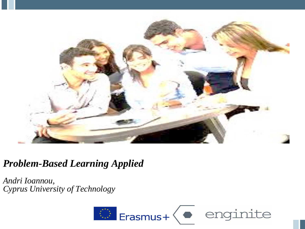

#### *Problem-Based Learning Applied*

*Andri Ioannou, Cyprus University of Technology* 

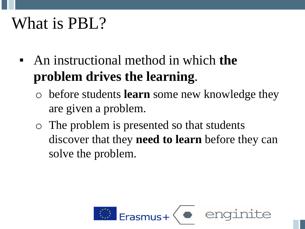### What is **PBL**?

- An instructional method in which **the problem drives the learning**.
	- o before students **learn** some new knowledge they are given a problem.
	- o The problem is presented so that students discover that they **need to learn** before they can solve the problem.

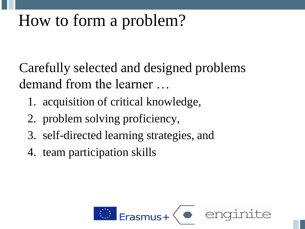## How to form a problem?

Carefully selected and designed problems demand from the learner …

- 1. acquisition of critical knowledge,
- 2. problem solving proficiency,
- 3. self-directed learning strategies, and
- 4. team participation skills

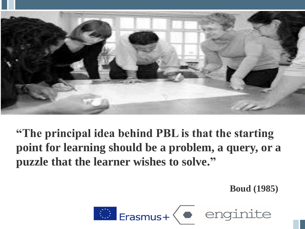

**"The principal idea behind PBL is that the starting point for learning should be a problem, a query, or a puzzle that the learner wishes to solve."**

**Boud (1985)**

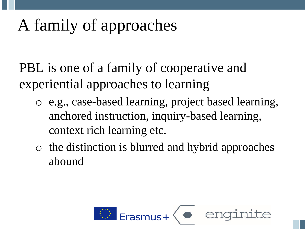## A family of approaches

PBL is one of a family of cooperative and experiential approaches to learning

- o e.g., case-based learning, project based learning, anchored instruction, inquiry-based learning, context rich learning etc.
- o the distinction is blurred and hybrid approaches abound

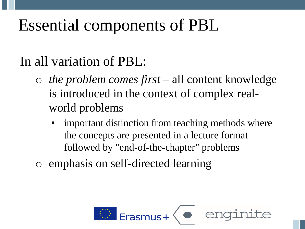## Essential components of PBL

#### In all variation of PBL:

- o *the problem comes first*  all content knowledge is introduced in the context of complex realworld problems
	- important distinction from teaching methods where the concepts are presented in a lecture format followed by "end-of-the-chapter" problems
- o emphasis on self-directed learning

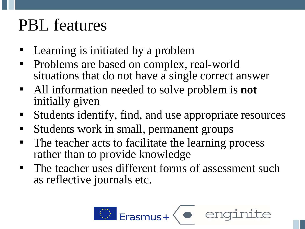### PBL features

- Learning is initiated by a problem
- Problems are based on complex, real-world situations that do not have a single correct answer
- All information needed to solve problem is **not** initially given
- Students identify, find, and use appropriate resources
- Students work in small, permanent groups
- The teacher acts to facilitate the learning process rather than to provide knowledge
- The teacher uses different forms of assessment such as reflective journals etc.

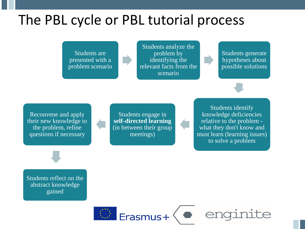#### The PBL cycle or PBL tutorial process

Students are presented with a problem scenario

Students analyze the problem by identifying the relevant facts from the scenario

Students generate hypotheses about possible solutions

Reconvene and apply their new knowledge to the problem, refine questions if necessary

Students engage in **self-directed learning**  (in between their group meetings)

Students identify knowledge deficiencies relative to the problem what they don't know and must learn (learning issues) to solve a problem

Students reflect on the abstract knowledge gained

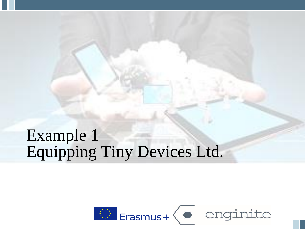### Example 1 Equipping Tiny Devices Ltd.

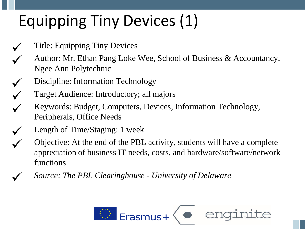## Equipping Tiny Devices (1)

- Title: Equipping Tiny Devices
- Author: Mr. Ethan Pang Loke Wee, School of Business & Accountancy, Ngee Ann Polytechnic
- Discipline: Information Technology
	- Target Audience: Introductory; all majors
- Keywords: Budget, Computers, Devices, Information Technology, Peripherals, Office Needs
- Length of Time/Staging: 1 week
	- Objective: At the end of the PBL activity, students will have a complete appreciation of business IT needs, costs, and hardware/software/network functions
		- ✓ *Source: The PBL Clearinghouse - University of Delaware*

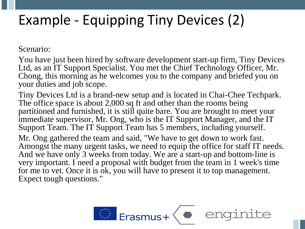#### Example - Equipping Tiny Devices (2)

Scenario:

You have just been hired by software development start-up firm, Tiny Devices Ltd, as an IT Support Specialist. You met the Chief Technology Officer, Mr. Chong, this morning as he welcomes you to the company and briefed you on your duties and job scope.

Tiny Devices Ltd is a brand-new setup and is located in Chai-Chee Techpark. The office space is about 2,000 sq ft and other than the rooms being partitioned and furnished, it is still quite bare. You are brought to meet your immediate supervisor, Mr. Ong, who is the IT Support Manager, and the IT Support Team. The IT Support Team has 5 members, including yourself.

Mr. Ong gathered the team and said, "We have to get down to work fast. Amongst the many urgent tasks, we need to equip the office for staff IT needs. And we have only 3 weeks from today. We are a start-up and bottom-line is very important. I need a proposal with budget from the team in 1 week's time for me to vet. Once it is ok, you will have to present it to top management. Expect tough questions."

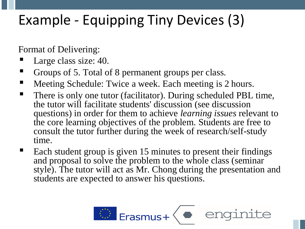#### Example - Equipping Tiny Devices (3)

Format of Delivering:

- Large class size: 40.
- Groups of 5. Total of 8 permanent groups per class.
- Meeting Schedule: Twice a week. Each meeting is 2 hours.
- There is only one tutor (facilitator). During scheduled PBL time, the tutor will facilitate students' discussion (see discussion questions) in order for them to achieve *learning issues* relevant to the core learning objectives of the problem. Students are free to consult the tutor further during the week of research/self-study time.
- Each student group is given 15 minutes to present their findings and proposal to solve the problem to the whole class (seminar style). The tutor will act as Mr. Chong during the presentation and students are expected to answer his questions.

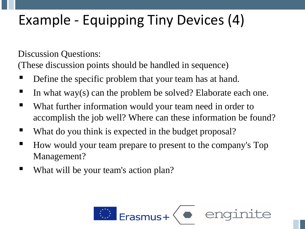#### Example - Equipping Tiny Devices (4)

Discussion Questions:

(These discussion points should be handled in sequence)

- Define the specific problem that your team has at hand.
- In what way(s) can the problem be solved? Elaborate each one.
- What further information would your team need in order to accomplish the job well? Where can these information be found?
- What do you think is expected in the budget proposal?
- How would your team prepare to present to the company's Top Management?
- What will be your team's action plan?

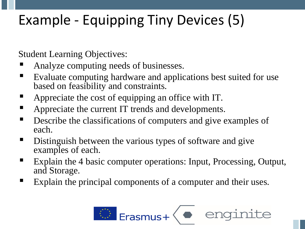### Example - Equipping Tiny Devices (5)

Student Learning Objectives:

- Analyze computing needs of businesses.
- Evaluate computing hardware and applications best suited for use based on feasibility and constraints.
- Appreciate the cost of equipping an office with IT.
- Appreciate the current IT trends and developments.
- Describe the classifications of computers and give examples of each.
- Distinguish between the various types of software and give examples of each.
- Explain the 4 basic computer operations: Input, Processing, Output, and Storage.
- Explain the principal components of a computer and their uses.

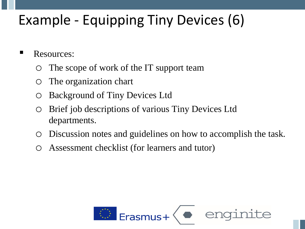#### Example - Equipping Tiny Devices (6)

- **E** Resources:
	- The scope of work of the IT support team
	- The organization chart
	- Background of Tiny Devices Ltd
	- Brief job descriptions of various Tiny Devices Ltd departments.
	- Discussion notes and guidelines on how to accomplish the task.
	- Assessment checklist (for learners and tutor)

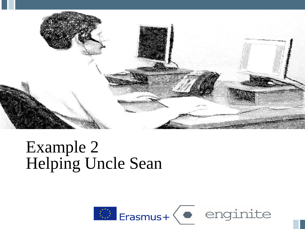

#### Example 2 Helping Uncle Sean

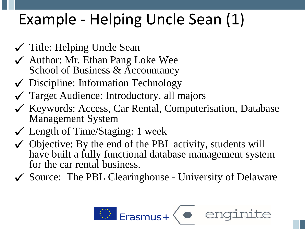## Example - Helping Uncle Sean (1)

- ✓ Title: Helping Uncle Sean
- ✓ Author: Mr. Ethan Pang Loke Wee School of Business & Accountancy
- ✓ Discipline: Information Technology
- ✓ Target Audience: Introductory, all majors
- ✓ Keywords: Access, Car Rental, Computerisation, Database Management System
- $\checkmark$  Length of Time/Staging: 1 week
- $\checkmark$  Objective: By the end of the PBL activity, students will have built a fully functional database management system for the car rental business.
- ✓ Source: The PBL Clearinghouse University of Delaware

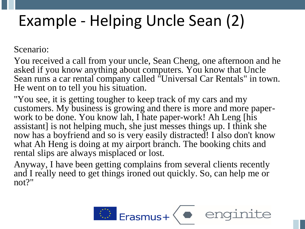## Example - Helping Uncle Sean (2)

Scenario:

You received a call from your uncle, Sean Cheng, one afternoon and he asked if you know anything about computers. You know that Uncle Sean runs a car rental company called "Universal Car Rentals" in town. He went on to tell you his situation.

"You see, it is getting tougher to keep track of my cars and my customers. My business is growing and there is more and more paperwork to be done. You know lah, I hate paper-work! Ah Leng [his assistant] is not helping much, she just messes things up. I think she now has a boyfriend and so is very easily distracted! I also don't know what Ah Heng is doing at my airport branch. The booking chits and rental slips are always misplaced or lost.

Anyway, I have been getting complains from several clients recently and I really need to get things ironed out quickly. So, can help me or not?"

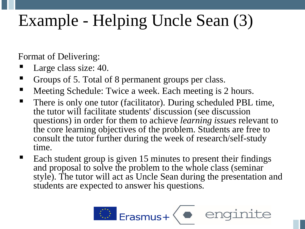## Example - Helping Uncle Sean (3)

Format of Delivering:

- Large class size: 40.
- Groups of 5. Total of 8 permanent groups per class.
- Meeting Schedule: Twice a week. Each meeting is 2 hours.
- There is only one tutor (facilitator). During scheduled PBL time, the tutor will facilitate students' discussion (see discussion questions) in order for them to achieve *learning issues* relevant to the core learning objectives of the problem. Students are free to consult the tutor further during the week of research/self-study time.
- $\blacksquare$  Each student group is given 15 minutes to present their findings and proposal to solve the problem to the whole class (seminar style). The tutor will act as Uncle Sean during the presentation and students are expected to answer his questions.

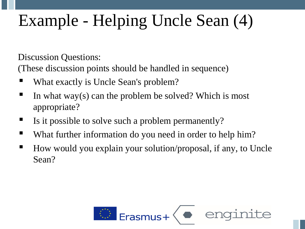# Example - Helping Uncle Sean (4)

Discussion Questions:

(These discussion points should be handled in sequence)

- What exactly is Uncle Sean's problem?
- $\blacksquare$  In what way(s) can the problem be solved? Which is most appropriate?
- Is it possible to solve such a problem permanently?
- What further information do you need in order to help him?
- How would you explain your solution/proposal, if any, to Uncle Sean?

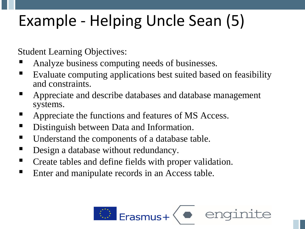## Example - Helping Uncle Sean (5)

Student Learning Objectives:

- Analyze business computing needs of businesses.
- Evaluate computing applications best suited based on feasibility and constraints.
- Appreciate and describe databases and database management systems.
- Appreciate the functions and features of MS Access.
- Distinguish between Data and Information.
- Understand the components of a database table.
- **Design a database without redundancy.**
- Create tables and define fields with proper validation.
- Enter and manipulate records in an Access table.

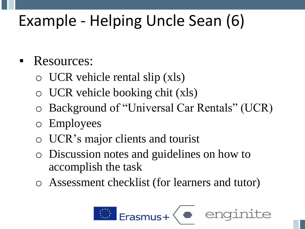## Example - Helping Uncle Sean (6)

#### Resources:

- o UCR vehicle rental slip (xls)
- o UCR vehicle booking chit (xls)
- o Background of "Universal Car Rentals" (UCR)
- o Employees
- o UCR's major clients and tourist
- o Discussion notes and guidelines on how to accomplish the task
- o Assessment checklist (for learners and tutor)